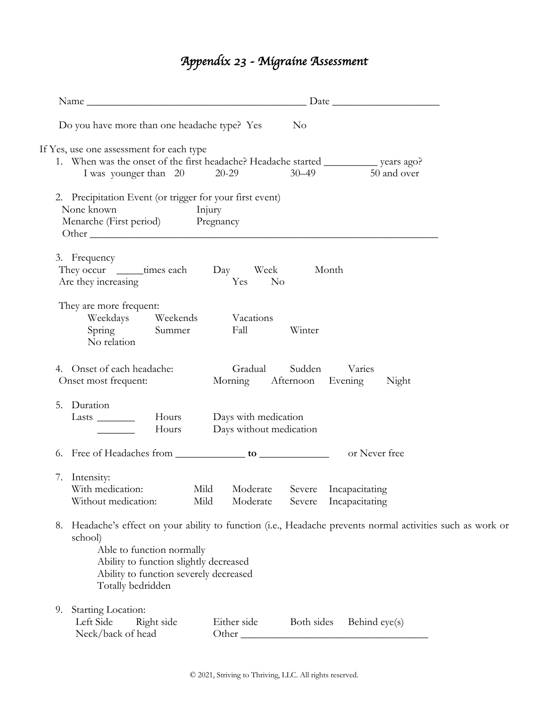## *Appendix 23 - Migraine Assessment*

|                                                                                                                                                     | Name                                                                                                               |  |  |  |
|-----------------------------------------------------------------------------------------------------------------------------------------------------|--------------------------------------------------------------------------------------------------------------------|--|--|--|
| Do you have more than one headache type? Yes                                                                                                        | N <sub>o</sub>                                                                                                     |  |  |  |
| If Yes, use one assessment for each type<br>I was younger than 20 20-29                                                                             | 1. When was the onset of the first headache? Headache started _____________ years ago?<br>50 and over<br>$30 - 49$ |  |  |  |
| 2. Precipitation Event (or trigger for your first event)<br>None known<br>Injury<br>Menarche (First period) Pregnancy                               | Other                                                                                                              |  |  |  |
| 3. Frequency<br>They occur ________ times each Day Week<br>Are they increasing                                                                      | Month<br>Yes<br>$\rm No$                                                                                           |  |  |  |
| They are more frequent:<br>Weekdays Weekends<br>Spring Summer<br>No relation                                                                        | Vacations<br>Fall<br>Winter                                                                                        |  |  |  |
| 4. Onset of each headache:<br>Onset most frequent:                                                                                                  | Gradual Sudden Varies<br>Morning Afternoon Evening<br>Night                                                        |  |  |  |
| 5. Duration<br>Lasts $\frac{1}{\sqrt{1-\frac{1}{2}}\cdot\frac{1}{\sqrt{1-\frac{1}{2}}}}$<br>Hours                                                   | Hours Days with medication<br>Days without medication                                                              |  |  |  |
|                                                                                                                                                     | or Never free                                                                                                      |  |  |  |
| 7. Intensity:<br>With medication:<br>Mild<br>Without medication:<br>Mild                                                                            | Moderate<br>Severe Incapacitating<br>Moderate<br>Severe<br>Incapacitating                                          |  |  |  |
| 8.<br>school)<br>Able to function normally<br>Ability to function slightly decreased<br>Ability to function severely decreased<br>Totally bedridden | Headache's effect on your ability to function (i.e., Headache prevents normal activities such as work or           |  |  |  |
| Starting Location:<br>9.<br>Left Side<br>Right side<br>Neck/back of head                                                                            | Either side<br>Both sides<br>Behind eye(s)<br>Other                                                                |  |  |  |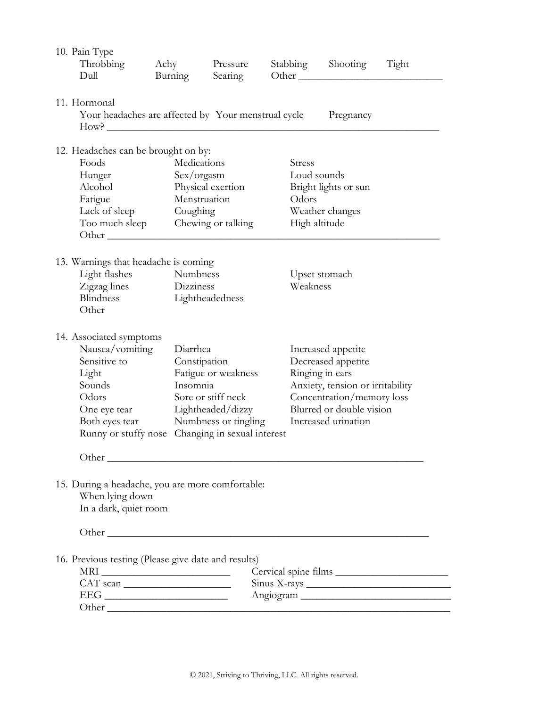| 10. Pain Type<br>Throbbing<br>Dull                                                                                                                                                                                                                                                                                                                                                                                                                 | Achy<br>Burning                                                                         | Pressure<br>Searing                                                                                                                                                                                                                                                                                                                                                                                                                 | Other         | Stabbing Shooting                                                                                                                                                               | Tight     |  |  |
|----------------------------------------------------------------------------------------------------------------------------------------------------------------------------------------------------------------------------------------------------------------------------------------------------------------------------------------------------------------------------------------------------------------------------------------------------|-----------------------------------------------------------------------------------------|-------------------------------------------------------------------------------------------------------------------------------------------------------------------------------------------------------------------------------------------------------------------------------------------------------------------------------------------------------------------------------------------------------------------------------------|---------------|---------------------------------------------------------------------------------------------------------------------------------------------------------------------------------|-----------|--|--|
| 11. Hormonal<br>Your headaches are affected by Your menstrual cycle<br>Pregnancy<br>How?                                                                                                                                                                                                                                                                                                                                                           |                                                                                         |                                                                                                                                                                                                                                                                                                                                                                                                                                     |               |                                                                                                                                                                                 |           |  |  |
| 12. Headaches can be brought on by:<br>Foods<br>Medications<br>Hunger<br>Sex/orgasm<br>Alcohol<br>Physical exertion<br>Menstruation<br>Fatigue<br>Lack of sleep<br>Coughing<br>Too much sleep Chewing or talking<br>Other the contract of the contract of the contract of the contract of the contract of the contract of the contract of the contract of the contract of the contract of the contract of the contract of the contract of the cont |                                                                                         |                                                                                                                                                                                                                                                                                                                                                                                                                                     | <b>Stress</b> | Loud sounds<br>Bright lights or sun<br>Odors<br>Weather changes<br>High altitude                                                                                                |           |  |  |
| Light flashes<br>Zigzag lines<br>Blindness<br>Other                                                                                                                                                                                                                                                                                                                                                                                                | 13. Warnings that headache is coming<br><b>Numbness</b><br>Dizziness<br>Lightheadedness |                                                                                                                                                                                                                                                                                                                                                                                                                                     |               | Upset stomach<br>Weakness                                                                                                                                                       |           |  |  |
| 14. Associated symptoms<br>Nausea/vomiting<br>Sensitive to<br>Light<br>Sounds<br>Odors<br>One eye tear                                                                                                                                                                                                                                                                                                                                             |                                                                                         | Diarrhea<br>Constipation<br>Fatigue or weakness<br>Insomnia<br>Sore or stiff neck<br>Lightheaded/dizzy<br>Both eyes tear Numbness or tingling<br>Runny or stuffy nose Changing in sexual interest<br>Other experiences are the contract of the contract of the contract of the contract of the contract of the contract of the contract of the contract of the contract of the contract of the contract of the contract of the cont |               | Increased appetite<br>Decreased appetite<br>Ringing in ears<br>Anxiety, tension or irritability<br>Concentration/memory loss<br>Blurred or double vision<br>Increased urination |           |  |  |
| 15. During a headache, you are more comfortable:<br>When lying down<br>In a dark, quiet room                                                                                                                                                                                                                                                                                                                                                       |                                                                                         |                                                                                                                                                                                                                                                                                                                                                                                                                                     |               |                                                                                                                                                                                 |           |  |  |
| 16. Previous testing (Please give date and results)<br>$\begin{tabular}{c} \bf MRI \end{tabular}$<br>CAT scan<br>Other                                                                                                                                                                                                                                                                                                                             |                                                                                         |                                                                                                                                                                                                                                                                                                                                                                                                                                     |               |                                                                                                                                                                                 | Angiogram |  |  |